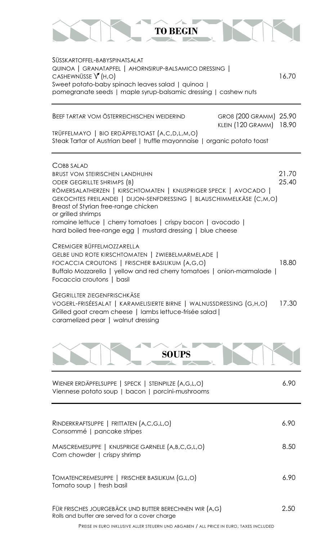

SÜSSKARTOFFEL-BABYSPINATSALAT QUINOA | GRANATAPFEL | AHORNSIRUP-BALSAMICO DRESSING |  $CASHEWNÜSSE V (H,O)$  16.70 Sweet potato-baby spinach leaves salad | quinoa | pomegranate seeds | maple syrup-balsamic dressing | cashew nuts

| BEEF TARTAR VOM ÖSTERREICHISCHEN WEIDERIND                                                                                 | GROB (200 GRAMM) 25.90<br>KLEIN (120 GRAMM) 18.90 |  |
|----------------------------------------------------------------------------------------------------------------------------|---------------------------------------------------|--|
| TRÜFFELMAYO   BIO ERDÄPFELTOAST (A,C,D,L,M,O)<br>Steak Tartar of Austrian beef   truffle mayonnaise   organic potato toast |                                                   |  |

| COBB SALAD                                                           |       |
|----------------------------------------------------------------------|-------|
| <b>BRUST VOM STEIRISCHEN LANDHUHN</b>                                | 21.70 |
| ODER GEGRILLTE SHRIMPS (B)                                           | 25.40 |
| RÖMERSALATHERZEN   KIRSCHTOMATEN   KNUSPRIGER SPECK   AVOCADO        |       |
| GEKOCHTES FREILANDEI   DIJON-SENFDRESSING   BLAUSCHIMMELKÄSE (C,M,O) |       |
| Breast of Styrian free-range chicken                                 |       |
| or grilled shrimps                                                   |       |
| romaine lettuce   cherry tomatoes   crispy bacon   avocado           |       |
| hard boiled free-range egg   mustard dressing   blue cheese          |       |
|                                                                      |       |

CREMIGER BÜFFELMOZZARELLA GELBE UND ROTE KIRSCHTOMATEN | ZWIEBELMARMELADE | FOCACCIA CROUTONS | FRISCHER BASILIKUM (A,G,O) 18.80 Buffalo Mozzarella | yellow and red cherry tomatoes | onion-marmalade | Focaccia croutons | basil

GEGRILLTER ZIEGENFRISCHKÄSE VOGERL-FRISÉESALAT | KARAMELISIERTE BIRNE | WALNUSSDRESSING (G,H,O) 17.30 Grilled goat cream cheese | lambs lettuce-frisée salad | caramelized pear | walnut dressing



| WIENER ERDÄPFELSUPPE   SPECK   STEINPILZE (A,G,L,O)<br>Viennese potato soup   bacon   porcini-mushrooms  | 6.90 |
|----------------------------------------------------------------------------------------------------------|------|
|                                                                                                          |      |
| RINDERKRAFTSUPPE   FRITTATEN (A,C,G,L,O)<br>Consommé   pancake stripes                                   | 6.90 |
| MAISCREMESUPPE   KNUSPRIGE GARNELE (A,B,C,G,L,O)<br>Corn chowder   crispy shrimp                         | 8.50 |
| TOMATENCREMESUPPE   FRISCHER BASILIKUM (G,L,O)<br>Tomato soup   fresh basil                              | 6.90 |
| FÜR FRISCHES JOURGEBÄCK UND BUTTER BERECHNEN WIR (A,G)<br>Rolls and butter are served for a cover charge | 2.50 |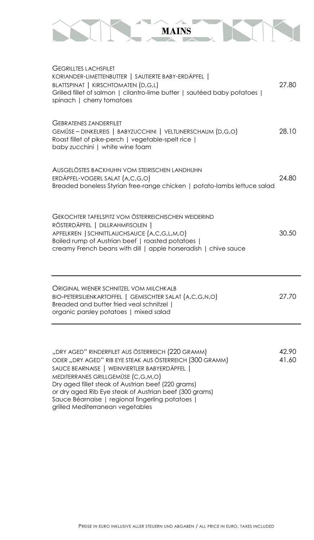

| <b>GEGRILLTES LACHSFILET</b><br>KORIANDER-LIMETTENBUTTER   SAUTIERTE BABY-ERDÄPFEL  <br>BLATTSPINAT   KIRSCHTOMATEN (D,G,L)<br>Grilled fillet of salmon   cilantro-lime butter   sautéed baby potatoes  <br>spinach   cherry tomatoes                                                                                                                                  | 27.80          |
|------------------------------------------------------------------------------------------------------------------------------------------------------------------------------------------------------------------------------------------------------------------------------------------------------------------------------------------------------------------------|----------------|
| <b>GEBRATENES ZANDERFILET</b><br>GEMÜSE - DINKELREIS   BABYZUCCHINI   VELTLINERSCHAUM (D,G,O)<br>Roast fillet of pike-perch   vegetable-spelt rice  <br>baby zucchini   white wine foam                                                                                                                                                                                | 28.10          |
| AUSGELÖSTES BACKHUHN VOM STEIRISCHEN LANDHUHN<br>ERDÄPFEL-VOGERL SALAT (A,C,G,O)<br>Breaded boneless Styrian free-range chicken   potato-lambs lettuce salad                                                                                                                                                                                                           | 24.80          |
| GEKOCHTER TAFELSPITZ VOM ÖSTERREICHISCHEN WEIDERIND<br>RÖSTERDÄPFEL   DILLRAHMFISOLEN  <br>APFELKREN   SCHNITTLAUCHSAUCE (A,C,G,L,M,O)<br>Boiled rump of Austrian beef   roasted potatoes  <br>creamy French beans with dill   apple horseradish   chive sauce                                                                                                         | 30.50          |
| ORIGINAL WIENER SCHNITZEL VOM MILCHKALB<br>BIO-PETERSILIENKARTOFFEL   GEMISCHTER SALAT (A,C,G,N,O)<br>Breaded and butter fried veal schnitzel  <br>organic parsley potatoes   mixed salad                                                                                                                                                                              | 27.70          |
| "DRY AGED" RINDERFILET AUS ÖSTERREICH (220 GRAMM)<br>ODER "DRY AGED" RIB EYE STEAK AUS ÖSTERREICH (300 GRAMM)<br>SAUCE BEARNAISE   WEINVIERTLER BABYERDÄPFEL  <br>MEDITERRANES GRILLGEMÜSE (C,G,M,O)<br>Dry aged fillet steak of Austrian beef (220 grams)<br>or dry aged Rib Eye steak of Austrian beef (300 grams)<br>Sauce Béarnaise   regional fingerling potatoes | 42.90<br>41.60 |

grilled Mediterranean vegetables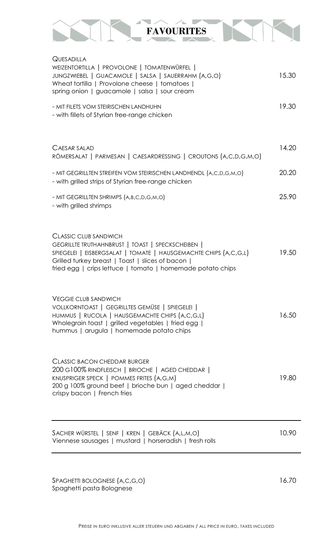

| QUESADILLA<br>WEIZENTORTILLA   PROVOLONE   TOMATENWÜRFEL                                                                                                                                                                                                                 |       |
|--------------------------------------------------------------------------------------------------------------------------------------------------------------------------------------------------------------------------------------------------------------------------|-------|
| JUNGZWIEBEL   GUACAMOLE   SALSA   SAUERRAHM (A,G,O)<br>Wheat tortilla   Provolone cheese   tomatoes  <br>spring onion   guacamole   salsa   sour cream                                                                                                                   | 15.30 |
| - MIT FILETS VOM STEIRISCHEN LANDHUHN<br>- with fillets of Styrian free-range chicken                                                                                                                                                                                    | 19.30 |
| CAESAR SALAD<br>RÖMERSALAT   PARMESAN   CAESARDRESSING   CROUTONS (A,C,D,G,M,O)                                                                                                                                                                                          | 14.20 |
| - MIT GEGRILLTEN STREIFEN VOM STEIRISCHEN LANDHENDL (A,C,D,G,M,O)<br>- with grilled strips of Styrian free-range chicken                                                                                                                                                 | 20.20 |
| - MIT GEGRILLTEN SHRIMPS (A,B,C,D,G,M,O)<br>- with grilled shrimps                                                                                                                                                                                                       | 25.90 |
| <b>CLASSIC CLUB SANDWICH</b><br>GEGRILLTE TRUTHAHNBRUST   TOAST   SPECKSCHEIBEN  <br>SPIEGELEI   EISBERGSALAT   TOMATE   HAUSGEMACHTE CHIPS (A,C,G,L)<br>Grilled turkey breast   Toast   slices of bacon  <br>fried egg   crips lettuce   tomato   homemade potato chips | 19.50 |
| <b>VEGGIE CLUB SANDWICH</b><br>VOLLKORNTOAST   GEGRILLTES GEMÜSE   SPIEGELEI  <br>HUMMUS   RUCOLA   HAUSGEMACHTE CHIPS (A,C,G,L)<br>Wholegrain toast   grilled vegetables   fried egg  <br>hummus   arugula   homemade potato chips                                      | 16.50 |
| <b>CLASSIC BACON CHEDDAR BURGER</b><br>200 G100% RINDFLEISCH   BRIOCHE   AGED CHEDDAR  <br>KNUSPRIGER SPECK   POMMES FRITES (A,G,M)<br>200 g 100% ground beef   brioche bun   aged cheddar  <br>crispy bacon   French fries                                              | 19.80 |
| SACHER WÜRSTEL   SENF   KREN   GEBÄCK (A,L,M,O)<br>Viennese sausages   mustard   horseradish   fresh rolls                                                                                                                                                               | 10.90 |

SPAGHETTI BOLOGNESE (A,C,G,O) 16.70 Spaghetti pasta Bolognese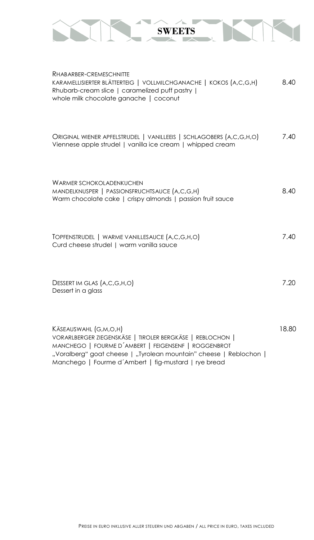

| RHABARBER-CREMESCHNITTE<br>KARAMELLISIERTER BLÄTTERTEIG   VOLLMILCHGANACHE   KOKOS (A,C,G,H)<br>Rhubarb-cream slice   caramelized puff pastry  <br>whole milk chocolate ganache   coconut                                                                                | 8.40  |
|--------------------------------------------------------------------------------------------------------------------------------------------------------------------------------------------------------------------------------------------------------------------------|-------|
| ORIGINAL WIENER APFELSTRUDEL   VANILLEEIS   SCHLAGOBERS (A,C,G,H,O)<br>Viennese apple strudel   vanilla ice cream   whipped cream                                                                                                                                        | 7.40  |
| <b>WARMER SCHOKOLADENKUCHEN</b><br>MANDELKNUSPER   PASSIONSFRUCHTSAUCE (A,C,G,H)<br>Warm chocolate cake   crispy almonds   passion fruit sauce                                                                                                                           | 8.40  |
| TOPFENSTRUDEL   WARME VANILLESAUCE (A,C,G,H,O)<br>Curd cheese strudel   warm vanilla sauce                                                                                                                                                                               | 7.40  |
| DESSERT IM GLAS (A,C,G,H,O)<br>Dessert in a glass                                                                                                                                                                                                                        | 7.20  |
| KÄSEAUSWAHL (G,M,O,H)<br>VORARLBERGER ZIEGENSKÄSE   TIROLER BERGKÄSE   REBLOCHON  <br>MANCHEGO   FOURME D'AMBERT   FEIGENSENF   ROGGENBROT<br>"Voralberg" goat cheese   "Tyrolean mountain" cheese   Reblochon  <br>Manchego   Fourme d'Ambert   fig-mustard   rye bread | 18.80 |